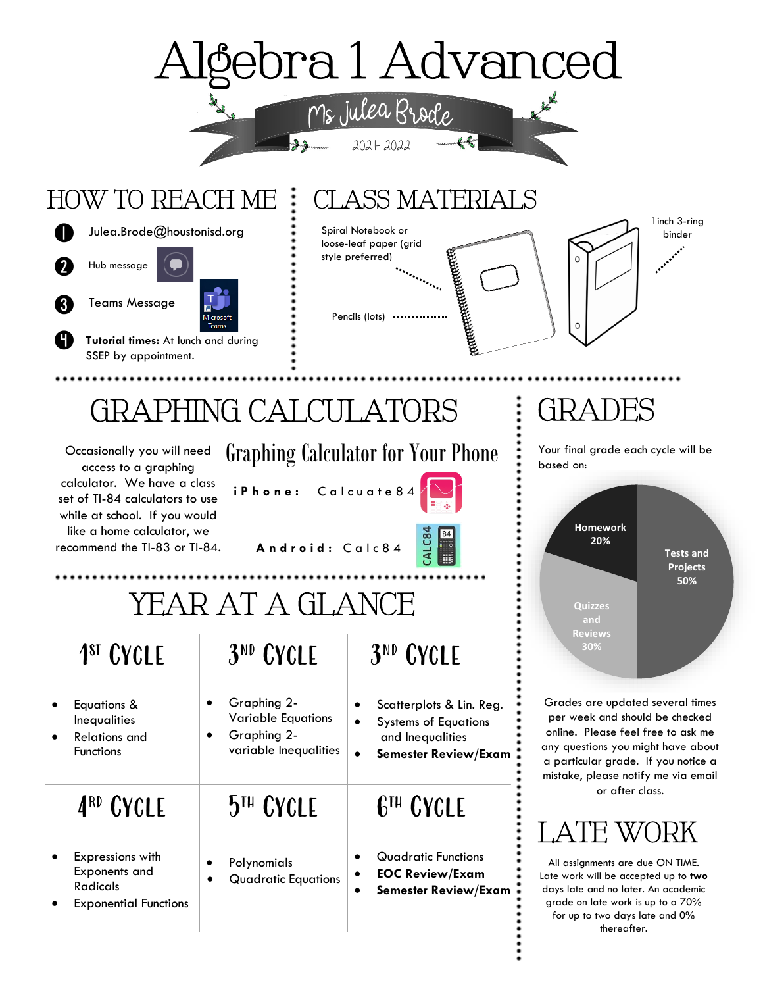